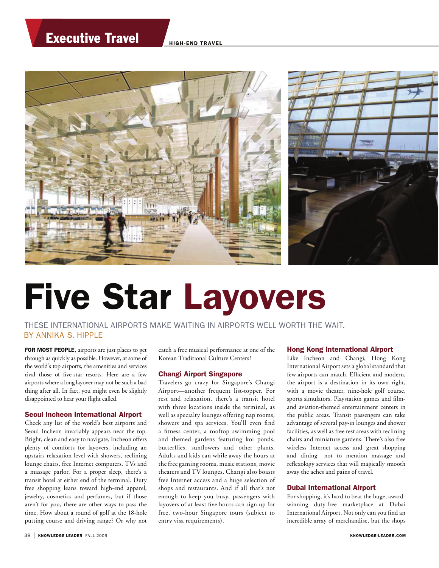# Executive Travel HIGH-END TRAVEL



# Five Star Layovers

 THESE INTERNATIONAL AIRPORTS MAKE WAITING IN AIRPORTS WELL WORTH THE WAIT. BY ANNIKA S. HIPPLE

FOR MOST PEOPLE, airports are just places to get through as quickly as possible. However, at some of the world's top airports, the amenities and services rival those of five-star resorts. Here are a few airports where a long layover may not be such a bad thing after all. In fact, you might even be slightly disappointed to hear your flight called.

## Seoul Incheon International Airport

Check any list of the world's best airports and Seoul Incheon invariably appears near the top. Bright, clean and easy to navigate, Incheon offers plenty of comforts for layovers, including an upstairs relaxation level with showers, reclining lounge chairs, free Internet computers, TVs and a massage parlor. For a proper sleep, there's a transit hotel at either end of the terminal. Duty free shopping leans toward high-end apparel, jewelry, cosmetics and perfumes, but if those aren't for you, there are other ways to pass the time. How about a round of golf at the 18-hole putting course and driving range? Or why not catch a free musical performance at one of the Korean Traditional Culture Centers?

## Changi Airport Singapore

Travelers go crazy for Singapore's Changi Airport—another frequent list-topper. For rest and relaxation, there's a transit hotel with three locations inside the terminal, as well as specialty lounges offering nap rooms, showers and spa services. You'll even find a fitness center, a rooftop swimming pool and themed gardens featuring koi ponds, butterflies, sunflowers and other plants. Adults and kids can while away the hours at the free gaming rooms, music stations, movie theaters and TV lounges. Changi also boasts free Internet access and a huge selection of shops and restaurants. And if all that's not enough to keep you busy, passengers with layovers of at least five hours can sign up for free, two-hour Singapore tours (subject to entry visa requirements).

#### Hong Kong International Airport

Like Incheon and Changi, Hong Kong International Airport sets a global standard that few airports can match. Efficient and modern, the airport is a destination in its own right, with a movie theater, nine-hole golf course, sports simulators, Playstation games and filmand aviation-themed entertainment centers in the public areas. Transit passengers can take advantage of several pay-in lounges and shower facilities, as well as free rest areas with reclining chairs and miniature gardens. There's also free wireless Internet access and great shopping and dining—not to mention massage and reflexology services that will magically smooth away the aches and pains of travel.

### Dubai International Airport

For shopping, it's hard to beat the huge, awardwinning duty-free marketplace at Dubai International Airport. Not only can you find an incredible array of merchandise, but the shops